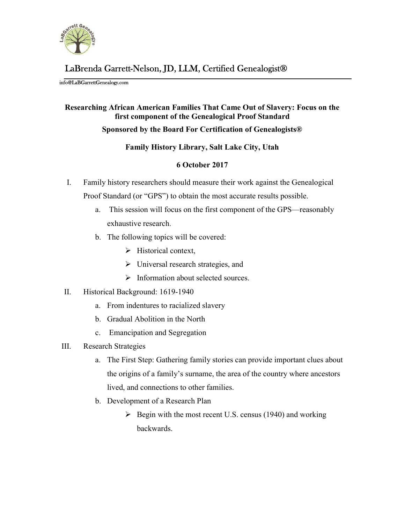

# LaBrenda Garrett-Nelson, JD, LLM, Certified Genealogist®

#### info@LaBGarrettGenealogy.com

# Researching African American Families That Came Out of Slavery: Focus on the first component of the Genealogical Proof Standard

### Sponsored by the Board For Certification of Genealogists®

# Family History Library, Salt Lake City, Utah

# 6 October 2017

- I. Family history researchers should measure their work against the Genealogical Proof Standard (or "GPS") to obtain the most accurate results possible.
	- a. This session will focus on the first component of the GPS—reasonably exhaustive research.
	- b. The following topics will be covered:
		- $\triangleright$  Historical context,
		- > Universal research strategies, and
		- $\triangleright$  Information about selected sources.
- II. Historical Background: 1619-1940
	- a. From indentures to racialized slavery
	- b. Gradual Abolition in the North
	- c. Emancipation and Segregation
- III. Research Strategies
	- a. The First Step: Gathering family stories can provide important clues about the origins of a family's surname, the area of the country where ancestors lived, and connections to other families.
	- b. Development of a Research Plan
		- $\triangleright$  Begin with the most recent U.S. census (1940) and working backwards.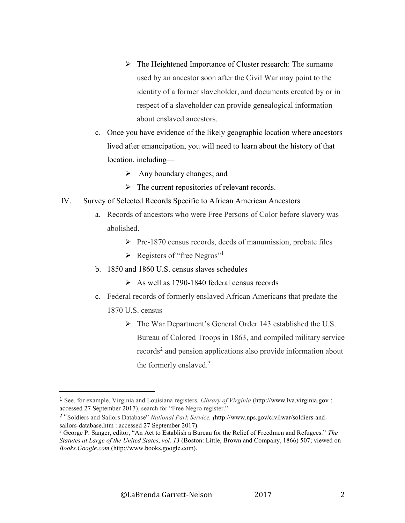- $\triangleright$  The Heightened Importance of Cluster research: The surname used by an ancestor soon after the Civil War may point to the identity of a former slaveholder, and documents created by or in respect of a slaveholder can provide genealogical information about enslaved ancestors.
- c. Once you have evidence of the likely geographic location where ancestors lived after emancipation, you will need to learn about the history of that location, including—
	- $\triangleright$  Any boundary changes; and
	- $\triangleright$  The current repositories of relevant records.
- IV. Survey of Selected Records Specific to African American Ancestors
	- a. Records of ancestors who were Free Persons of Color before slavery was abolished.
		- $\triangleright$  Pre-1870 census records, deeds of manumission, probate files
		- $\triangleright$  Registers of "free Negros"<sup>1</sup>
	- b. 1850 and 1860 U.S. census slaves schedules
		- $\triangleright$  As well as 1790-1840 federal census records
	- c. Federal records of formerly enslaved African Americans that predate the
		- 1870 U.S. census

l

 The War Department's General Order 143 established the U.S. Bureau of Colored Troops in 1863, and compiled military service records<sup>2</sup> and pension applications also provide information about the formerly enslaved.<sup>3</sup>

<sup>1</sup> See, for example, Virginia and Louisiana registers. Library of Virginia (http://www.lva.virginia.gov : accessed 27 September 2017), search for "Free Negro register."

<sup>&</sup>lt;sup>2</sup> "Soldiers and Sailors Database" National Park Service, (http://www.nps.gov/civilwar/soldiers-andsailors-database.htm : accessed 27 September 2017).

<sup>&</sup>lt;sup>3</sup> George P. Sanger, editor, "An Act to Establish a Bureau for the Relief of Freedmen and Refugees." The Statutes at Large of the United States, vol. 13 (Boston: Little, Brown and Company, 1866) 507; viewed on Books.Google.com (http://www.books.google.com).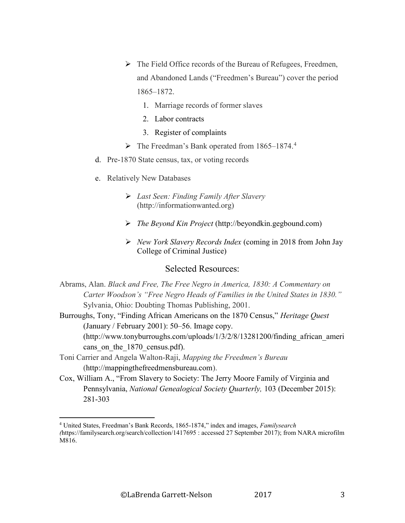- $\triangleright$  The Field Office records of the Bureau of Refugees, Freedmen, and Abandoned Lands ("Freedmen's Bureau") cover the period 1865–1872.
	- 1. Marriage records of former slaves
	- 2. Labor contracts
	- 3. Register of complaints
- ▶ The Freedman's Bank operated from 1865–1874.<sup>4</sup>
- d. Pre-1870 State census, tax, or voting records
- e. Relatively New Databases
	- $\triangleright$  Last Seen: Finding Family After Slavery (http://informationwanted.org)
	- The Beyond Kin Project (http://beyondkin.gegbound.com)
	- $\triangleright$  New York Slavery Records Index (coming in 2018 from John Jay College of Criminal Justice)

# Selected Resources:

Abrams, Alan. Black and Free, The Free Negro in America, 1830: A Commentary on Carter Woodson's "Free Negro Heads of Families in the United States in 1830." Sylvania, Ohio: Doubting Thomas Publishing, 2001.

Burroughs, Tony, "Finding African Americans on the 1870 Census," Heritage Quest (January / February 2001): 50–56. Image copy. (http://www.tonyburroughs.com/uploads/1/3/2/8/13281200/finding\_african\_ameri cans on the 1870 census.pdf).

Toni Carrier and Angela Walton-Raji, Mapping the Freedmen's Bureau (http://mappingthefreedmensbureau.com).

l

Cox, William A., "From Slavery to Society: The Jerry Moore Family of Virginia and Pennsylvania, National Genealogical Society Quarterly, 103 (December 2015): 281-303

<sup>&</sup>lt;sup>4</sup> United States, Freedman's Bank Records, 1865-1874," index and images, Familysearch (https://familysearch.org/search/collection/1417695 : accessed 27 September 2017); from NARA microfilm M816.